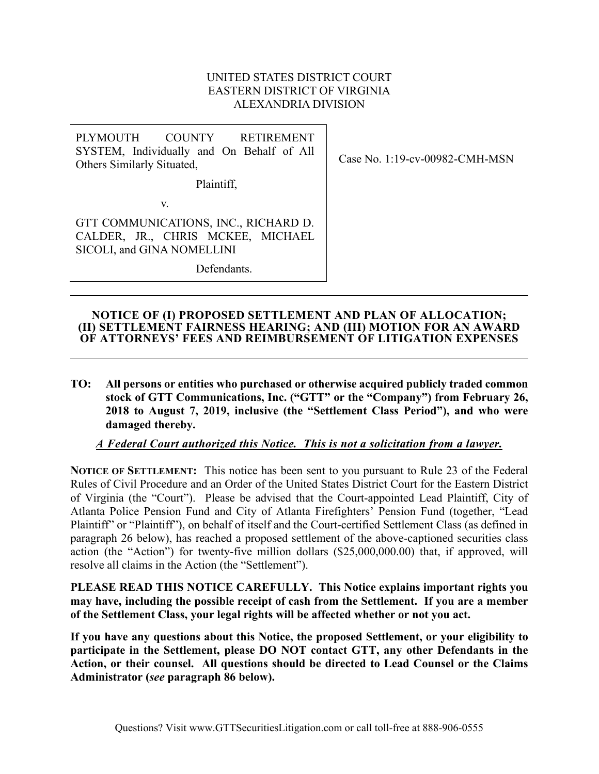#### UNITED STATES DISTRICT COURT EASTERN DISTRICT OF VIRGINIA ALEXANDRIA DIVISION

| PLYMOUTH COUNTY RETIREMENT                |    |  |            |
|-------------------------------------------|----|--|------------|
| SYSTEM, Individually and On Behalf of All |    |  |            |
| Others Similarly Situated,                |    |  |            |
| Plaintiff,                                |    |  |            |
|                                           | V. |  |            |
| $CFT CQ$ and $R$ in it $C$ and $C$        |    |  | ם חת וזרות |

GTT COMMUNICATIONS, INC., RICHARD D. CALDER, JR., CHRIS MCKEE, MICHAEL SICOLI, and GINA NOMELLINI

Defendants.

Case No. 1:19-cv-00982-CMH-MSN

#### **NOTICE OF (I) PROPOSED SETTLEMENT AND PLAN OF ALLOCATION; (II) SETTLEMENT FAIRNESS HEARING; AND (III) MOTION FOR AN AWARD OF ATTORNEYS' FEES AND REIMBURSEMENT OF LITIGATION EXPENSES**

**TO: All persons or entities who purchased or otherwise acquired publicly traded common stock of GTT Communications, Inc. ("GTT" or the "Company") from February 26, 2018 to August 7, 2019, inclusive (the "Settlement Class Period"), and who were damaged thereby.**

## *A Federal Court authorized this Notice. This is not a solicitation from a lawyer.*

**NOTICE OF SETTLEMENT:** This notice has been sent to you pursuant to Rule 23 of the Federal Rules of Civil Procedure and an Order of the United States District Court for the Eastern District of Virginia (the "Court"). Please be advised that the Court-appointed Lead Plaintiff, City of Atlanta Police Pension Fund and City of Atlanta Firefighters' Pension Fund (together, "Lead Plaintiff" or "Plaintiff"), on behalf of itself and the Court-certified Settlement Class (as defined in paragraph 26 below), has reached a proposed settlement of the above-captioned securities class action (the "Action") for twenty-five million dollars (\$25,000,000.00) that, if approved, will resolve all claims in the Action (the "Settlement").

**PLEASE READ THIS NOTICE CAREFULLY. This Notice explains important rights you may have, including the possible receipt of cash from the Settlement. If you are a member of the Settlement Class, your legal rights will be affected whether or not you act.** 

**If you have any questions about this Notice, the proposed Settlement, or your eligibility to participate in the Settlement, please DO NOT contact GTT, any other Defendants in the Action, or their counsel. All questions should be directed to Lead Counsel or the Claims Administrator (***see* **paragraph 86 below).**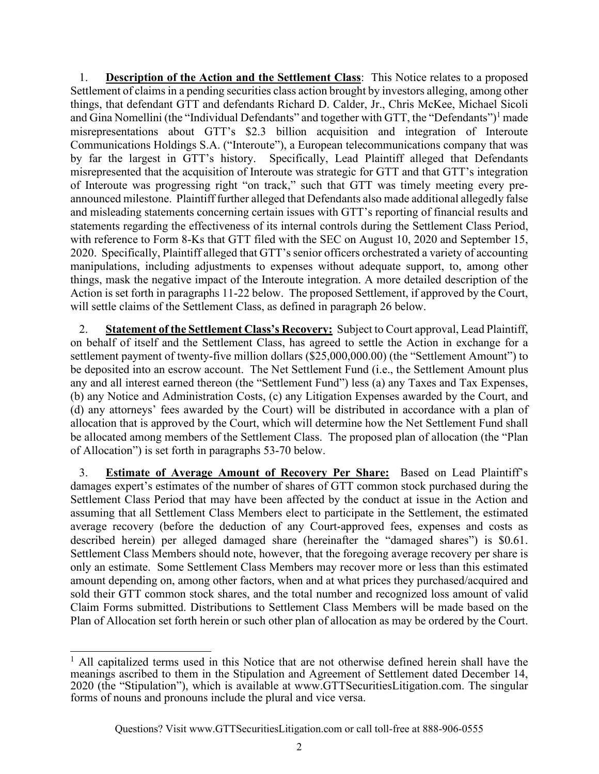1. **Description of the Action and the Settlement Class**: This Notice relates to a proposed Settlement of claims in a pending securities class action brought by investors alleging, among other things, that defendant GTT and defendants Richard D. Calder, Jr., Chris McKee, Michael Sicoli and Gina Nomellini (the "Individual Defendants" and together with GTT, the "Defendants")<sup>1</sup> made misrepresentations about GTT's \$2.3 billion acquisition and integration of Interoute Communications Holdings S.A. ("Interoute"), a European telecommunications company that was by far the largest in GTT's history. Specifically, Lead Plaintiff alleged that Defendants misrepresented that the acquisition of Interoute was strategic for GTT and that GTT's integration of Interoute was progressing right "on track," such that GTT was timely meeting every preannounced milestone. Plaintiff further alleged that Defendants also made additional allegedly false and misleading statements concerning certain issues with GTT's reporting of financial results and statements regarding the effectiveness of its internal controls during the Settlement Class Period, with reference to Form 8-Ks that GTT filed with the SEC on August 10, 2020 and September 15, 2020. Specifically, Plaintiff alleged that GTT's senior officers orchestrated a variety of accounting manipulations, including adjustments to expenses without adequate support, to, among other things, mask the negative impact of the Interoute integration. A more detailed description of the Action is set forth in paragraphs 11-22 below. The proposed Settlement, if approved by the Court, will settle claims of the Settlement Class, as defined in paragraph 26 below.

2. **Statement of the Settlement Class's Recovery:** Subject to Court approval, Lead Plaintiff, on behalf of itself and the Settlement Class, has agreed to settle the Action in exchange for a settlement payment of twenty-five million dollars (\$25,000,000.00) (the "Settlement Amount") to be deposited into an escrow account. The Net Settlement Fund (i.e., the Settlement Amount plus any and all interest earned thereon (the "Settlement Fund") less (a) any Taxes and Tax Expenses, (b) any Notice and Administration Costs, (c) any Litigation Expenses awarded by the Court, and (d) any attorneys' fees awarded by the Court) will be distributed in accordance with a plan of allocation that is approved by the Court, which will determine how the Net Settlement Fund shall be allocated among members of the Settlement Class. The proposed plan of allocation (the "Plan of Allocation") is set forth in paragraphs 53-70 below.

3. **Estimate of Average Amount of Recovery Per Share:** Based on Lead Plaintiff's damages expert's estimates of the number of shares of GTT common stock purchased during the Settlement Class Period that may have been affected by the conduct at issue in the Action and assuming that all Settlement Class Members elect to participate in the Settlement, the estimated average recovery (before the deduction of any Court-approved fees, expenses and costs as described herein) per alleged damaged share (hereinafter the "damaged shares") is \$0.61. Settlement Class Members should note, however, that the foregoing average recovery per share is only an estimate. Some Settlement Class Members may recover more or less than this estimated amount depending on, among other factors, when and at what prices they purchased/acquired and sold their GTT common stock shares, and the total number and recognized loss amount of valid Claim Forms submitted. Distributions to Settlement Class Members will be made based on the Plan of Allocation set forth herein or such other plan of allocation as may be ordered by the Court.

<sup>&</sup>lt;sup>1</sup> All capitalized terms used in this Notice that are not otherwise defined herein shall have the meanings ascribed to them in the Stipulation and Agreement of Settlement dated December 14, 2020 (the "Stipulation"), which is available at www.GTTSecuritiesLitigation.com. The singular forms of nouns and pronouns include the plural and vice versa.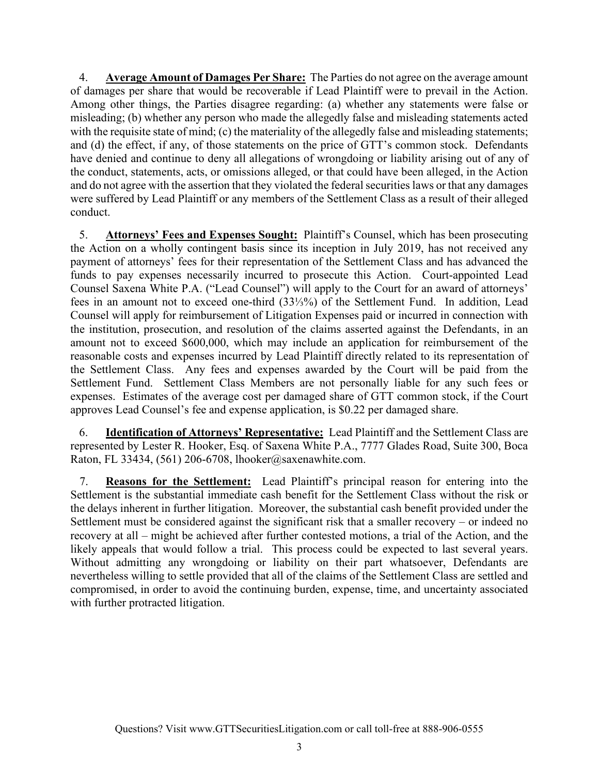4. **Average Amount of Damages Per Share:** The Parties do not agree on the average amount of damages per share that would be recoverable if Lead Plaintiff were to prevail in the Action. Among other things, the Parties disagree regarding: (a) whether any statements were false or misleading; (b) whether any person who made the allegedly false and misleading statements acted with the requisite state of mind; (c) the materiality of the allegedly false and misleading statements; and (d) the effect, if any, of those statements on the price of GTT's common stock. Defendants have denied and continue to deny all allegations of wrongdoing or liability arising out of any of the conduct, statements, acts, or omissions alleged, or that could have been alleged, in the Action and do not agree with the assertion that they violated the federal securities laws or that any damages were suffered by Lead Plaintiff or any members of the Settlement Class as a result of their alleged conduct.

5. **Attorneys' Fees and Expenses Sought:** Plaintiff's Counsel, which has been prosecuting the Action on a wholly contingent basis since its inception in July 2019, has not received any payment of attorneys' fees for their representation of the Settlement Class and has advanced the funds to pay expenses necessarily incurred to prosecute this Action. Court-appointed Lead Counsel Saxena White P.A. ("Lead Counsel") will apply to the Court for an award of attorneys' fees in an amount not to exceed one-third (33⅓%) of the Settlement Fund. In addition, Lead Counsel will apply for reimbursement of Litigation Expenses paid or incurred in connection with the institution, prosecution, and resolution of the claims asserted against the Defendants, in an amount not to exceed \$600,000, which may include an application for reimbursement of the reasonable costs and expenses incurred by Lead Plaintiff directly related to its representation of the Settlement Class. Any fees and expenses awarded by the Court will be paid from the Settlement Fund. Settlement Class Members are not personally liable for any such fees or expenses. Estimates of the average cost per damaged share of GTT common stock, if the Court approves Lead Counsel's fee and expense application, is \$0.22 per damaged share.

6. **Identification of Attorneys' Representative:** Lead Plaintiff and the Settlement Class are represented by Lester R. Hooker, Esq. of Saxena White P.A., 7777 Glades Road, Suite 300, Boca Raton, FL 33434, (561) 206-6708, lhooker@saxenawhite.com.

7. **Reasons for the Settlement:** Lead Plaintiff's principal reason for entering into the Settlement is the substantial immediate cash benefit for the Settlement Class without the risk or the delays inherent in further litigation. Moreover, the substantial cash benefit provided under the Settlement must be considered against the significant risk that a smaller recovery – or indeed no recovery at all – might be achieved after further contested motions, a trial of the Action, and the likely appeals that would follow a trial. This process could be expected to last several years. Without admitting any wrongdoing or liability on their part whatsoever, Defendants are nevertheless willing to settle provided that all of the claims of the Settlement Class are settled and compromised, in order to avoid the continuing burden, expense, time, and uncertainty associated with further protracted litigation.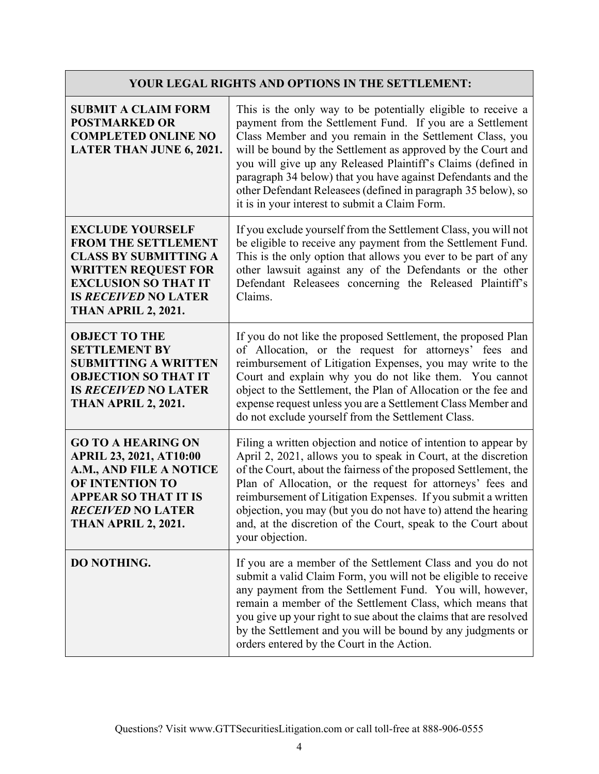## **YOUR LEGAL RIGHTS AND OPTIONS IN THE SETTLEMENT:**

| <b>SUBMIT A CLAIM FORM</b><br><b>POSTMARKED OR</b><br><b>COMPLETED ONLINE NO</b><br><b>LATER THAN JUNE 6, 2021.</b>                                                                                             | This is the only way to be potentially eligible to receive a<br>payment from the Settlement Fund. If you are a Settlement<br>Class Member and you remain in the Settlement Class, you<br>will be bound by the Settlement as approved by the Court and<br>you will give up any Released Plaintiff's Claims (defined in<br>paragraph 34 below) that you have against Defendants and the<br>other Defendant Releasees (defined in paragraph 35 below), so<br>it is in your interest to submit a Claim Form. |
|-----------------------------------------------------------------------------------------------------------------------------------------------------------------------------------------------------------------|----------------------------------------------------------------------------------------------------------------------------------------------------------------------------------------------------------------------------------------------------------------------------------------------------------------------------------------------------------------------------------------------------------------------------------------------------------------------------------------------------------|
| <b>EXCLUDE YOURSELF</b><br><b>FROM THE SETTLEMENT</b><br><b>CLASS BY SUBMITTING A</b><br><b>WRITTEN REQUEST FOR</b><br><b>EXCLUSION SO THAT IT</b><br><b>IS RECEIVED NO LATER</b><br><b>THAN APRIL 2, 2021.</b> | If you exclude yourself from the Settlement Class, you will not<br>be eligible to receive any payment from the Settlement Fund.<br>This is the only option that allows you ever to be part of any<br>other lawsuit against any of the Defendants or the other<br>Defendant Releasees concerning the Released Plaintiff's<br>Claims.                                                                                                                                                                      |
| <b>OBJECT TO THE</b><br><b>SETTLEMENT BY</b><br><b>SUBMITTING A WRITTEN</b><br><b>OBJECTION SO THAT IT</b><br><b>IS RECEIVED NO LATER</b><br><b>THAN APRIL 2, 2021.</b>                                         | If you do not like the proposed Settlement, the proposed Plan<br>of Allocation, or the request for attorneys' fees and<br>reimbursement of Litigation Expenses, you may write to the<br>Court and explain why you do not like them. You cannot<br>object to the Settlement, the Plan of Allocation or the fee and<br>expense request unless you are a Settlement Class Member and<br>do not exclude yourself from the Settlement Class.                                                                  |
| <b>GO TO A HEARING ON</b><br><b>APRIL 23, 2021, AT10:00</b><br>A.M., AND FILE A NOTICE<br>OF INTENTION TO<br><b>APPEAR SO THAT IT IS</b><br><b>RECEIVED NO LATER</b><br><b>THAN APRIL 2, 2021.</b>              | Filing a written objection and notice of intention to appear by<br>April 2, 2021, allows you to speak in Court, at the discretion<br>of the Court, about the fairness of the proposed Settlement, the<br>Plan of Allocation, or the request for attorneys' fees and<br>reimbursement of Litigation Expenses. If you submit a written<br>objection, you may (but you do not have to) attend the hearing<br>and, at the discretion of the Court, speak to the Court about<br>your objection.               |
| DO NOTHING.                                                                                                                                                                                                     | If you are a member of the Settlement Class and you do not<br>submit a valid Claim Form, you will not be eligible to receive<br>any payment from the Settlement Fund. You will, however,<br>remain a member of the Settlement Class, which means that<br>you give up your right to sue about the claims that are resolved<br>by the Settlement and you will be bound by any judgments or<br>orders entered by the Court in the Action.                                                                   |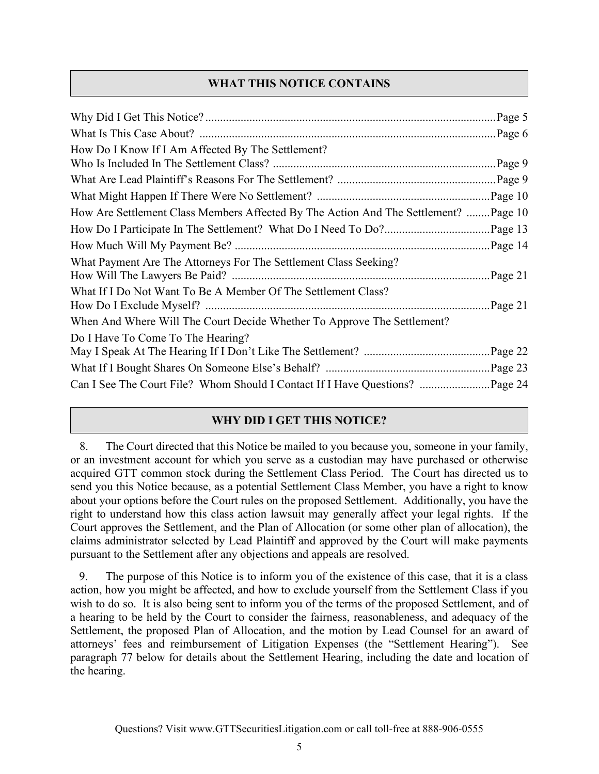## **WHAT THIS NOTICE CONTAINS**

| How Do I Know If I Am Affected By The Settlement?                                   |         |
|-------------------------------------------------------------------------------------|---------|
|                                                                                     |         |
|                                                                                     |         |
| How Are Settlement Class Members Affected By The Action And The Settlement? Page 10 |         |
|                                                                                     |         |
|                                                                                     |         |
| What Payment Are The Attorneys For The Settlement Class Seeking?                    | Page 21 |
| What If I Do Not Want To Be A Member Of The Settlement Class?                       |         |
| When And Where Will The Court Decide Whether To Approve The Settlement?             |         |
| Do I Have To Come To The Hearing?                                                   |         |
|                                                                                     |         |

## **WHY DID I GET THIS NOTICE?**

8. The Court directed that this Notice be mailed to you because you, someone in your family, or an investment account for which you serve as a custodian may have purchased or otherwise acquired GTT common stock during the Settlement Class Period. The Court has directed us to send you this Notice because, as a potential Settlement Class Member, you have a right to know about your options before the Court rules on the proposed Settlement. Additionally, you have the right to understand how this class action lawsuit may generally affect your legal rights. If the Court approves the Settlement, and the Plan of Allocation (or some other plan of allocation), the claims administrator selected by Lead Plaintiff and approved by the Court will make payments pursuant to the Settlement after any objections and appeals are resolved.

9. The purpose of this Notice is to inform you of the existence of this case, that it is a class action, how you might be affected, and how to exclude yourself from the Settlement Class if you wish to do so. It is also being sent to inform you of the terms of the proposed Settlement, and of a hearing to be held by the Court to consider the fairness, reasonableness, and adequacy of the Settlement, the proposed Plan of Allocation, and the motion by Lead Counsel for an award of attorneys' fees and reimbursement of Litigation Expenses (the "Settlement Hearing"). See paragraph 77 below for details about the Settlement Hearing, including the date and location of the hearing.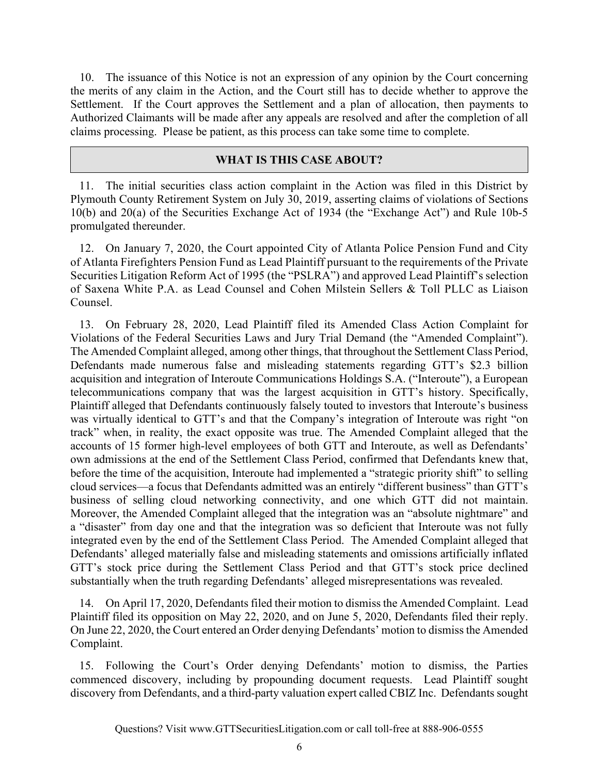10. The issuance of this Notice is not an expression of any opinion by the Court concerning the merits of any claim in the Action, and the Court still has to decide whether to approve the Settlement. If the Court approves the Settlement and a plan of allocation, then payments to Authorized Claimants will be made after any appeals are resolved and after the completion of all claims processing. Please be patient, as this process can take some time to complete.

#### **WHAT IS THIS CASE ABOUT?**

11. The initial securities class action complaint in the Action was filed in this District by Plymouth County Retirement System on July 30, 2019, asserting claims of violations of Sections 10(b) and 20(a) of the Securities Exchange Act of 1934 (the "Exchange Act") and Rule 10b-5 promulgated thereunder.

12. On January 7, 2020, the Court appointed City of Atlanta Police Pension Fund and City of Atlanta Firefighters Pension Fund as Lead Plaintiff pursuant to the requirements of the Private Securities Litigation Reform Act of 1995 (the "PSLRA") and approved Lead Plaintiff's selection of Saxena White P.A. as Lead Counsel and Cohen Milstein Sellers & Toll PLLC as Liaison Counsel.

13. On February 28, 2020, Lead Plaintiff filed its Amended Class Action Complaint for Violations of the Federal Securities Laws and Jury Trial Demand (the "Amended Complaint"). The Amended Complaint alleged, among other things, that throughout the Settlement Class Period, Defendants made numerous false and misleading statements regarding GTT's \$2.3 billion acquisition and integration of Interoute Communications Holdings S.A. ("Interoute"), a European telecommunications company that was the largest acquisition in GTT's history. Specifically, Plaintiff alleged that Defendants continuously falsely touted to investors that Interoute's business was virtually identical to GTT's and that the Company's integration of Interoute was right "on track" when, in reality, the exact opposite was true. The Amended Complaint alleged that the accounts of 15 former high-level employees of both GTT and Interoute, as well as Defendants' own admissions at the end of the Settlement Class Period, confirmed that Defendants knew that, before the time of the acquisition, Interoute had implemented a "strategic priority shift" to selling cloud services—a focus that Defendants admitted was an entirely "different business" than GTT's business of selling cloud networking connectivity, and one which GTT did not maintain. Moreover, the Amended Complaint alleged that the integration was an "absolute nightmare" and a "disaster" from day one and that the integration was so deficient that Interoute was not fully integrated even by the end of the Settlement Class Period. The Amended Complaint alleged that Defendants' alleged materially false and misleading statements and omissions artificially inflated GTT's stock price during the Settlement Class Period and that GTT's stock price declined substantially when the truth regarding Defendants' alleged misrepresentations was revealed.

14. On April 17, 2020, Defendants filed their motion to dismiss the Amended Complaint. Lead Plaintiff filed its opposition on May 22, 2020, and on June 5, 2020, Defendants filed their reply. On June 22, 2020, the Court entered an Order denying Defendants' motion to dismiss the Amended Complaint.

15. Following the Court's Order denying Defendants' motion to dismiss, the Parties commenced discovery, including by propounding document requests. Lead Plaintiff sought discovery from Defendants, and a third-party valuation expert called CBIZ Inc. Defendants sought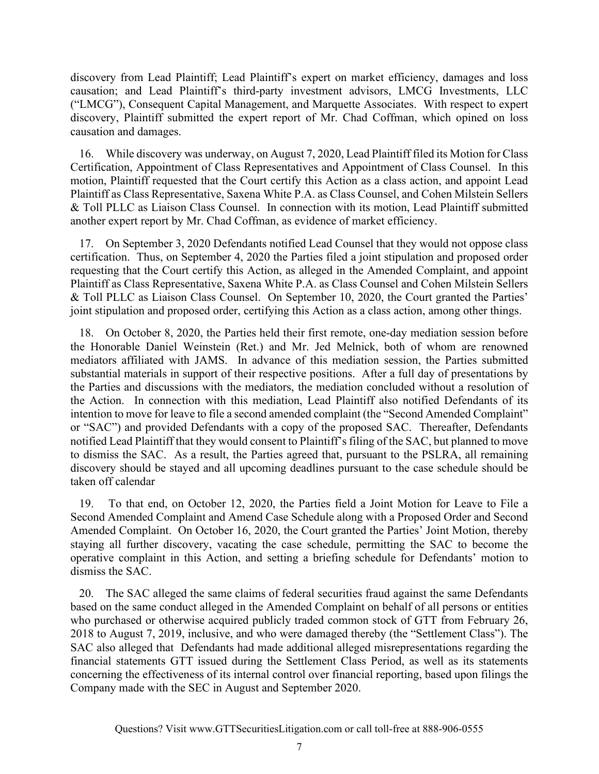discovery from Lead Plaintiff; Lead Plaintiff's expert on market efficiency, damages and loss causation; and Lead Plaintiff's third-party investment advisors, LMCG Investments, LLC ("LMCG"), Consequent Capital Management, and Marquette Associates. With respect to expert discovery, Plaintiff submitted the expert report of Mr. Chad Coffman, which opined on loss causation and damages.

16. While discovery was underway, on August 7, 2020, Lead Plaintiff filed its Motion for Class Certification, Appointment of Class Representatives and Appointment of Class Counsel. In this motion, Plaintiff requested that the Court certify this Action as a class action, and appoint Lead Plaintiff as Class Representative, Saxena White P.A. as Class Counsel, and Cohen Milstein Sellers & Toll PLLC as Liaison Class Counsel. In connection with its motion, Lead Plaintiff submitted another expert report by Mr. Chad Coffman, as evidence of market efficiency.

17. On September 3, 2020 Defendants notified Lead Counsel that they would not oppose class certification. Thus, on September 4, 2020 the Parties filed a joint stipulation and proposed order requesting that the Court certify this Action, as alleged in the Amended Complaint, and appoint Plaintiff as Class Representative, Saxena White P.A. as Class Counsel and Cohen Milstein Sellers & Toll PLLC as Liaison Class Counsel. On September 10, 2020, the Court granted the Parties' joint stipulation and proposed order, certifying this Action as a class action, among other things.

18. On October 8, 2020, the Parties held their first remote, one-day mediation session before the Honorable Daniel Weinstein (Ret.) and Mr. Jed Melnick, both of whom are renowned mediators affiliated with JAMS. In advance of this mediation session, the Parties submitted substantial materials in support of their respective positions. After a full day of presentations by the Parties and discussions with the mediators, the mediation concluded without a resolution of the Action. In connection with this mediation, Lead Plaintiff also notified Defendants of its intention to move for leave to file a second amended complaint (the "Second Amended Complaint" or "SAC") and provided Defendants with a copy of the proposed SAC. Thereafter, Defendants notified Lead Plaintiff that they would consent to Plaintiff's filing of the SAC, but planned to move to dismiss the SAC. As a result, the Parties agreed that, pursuant to the PSLRA, all remaining discovery should be stayed and all upcoming deadlines pursuant to the case schedule should be taken off calendar

19. To that end, on October 12, 2020, the Parties field a Joint Motion for Leave to File a Second Amended Complaint and Amend Case Schedule along with a Proposed Order and Second Amended Complaint. On October 16, 2020, the Court granted the Parties' Joint Motion, thereby staying all further discovery, vacating the case schedule, permitting the SAC to become the operative complaint in this Action, and setting a briefing schedule for Defendants' motion to dismiss the SAC.

20. The SAC alleged the same claims of federal securities fraud against the same Defendants based on the same conduct alleged in the Amended Complaint on behalf of all persons or entities who purchased or otherwise acquired publicly traded common stock of GTT from February 26, 2018 to August 7, 2019, inclusive, and who were damaged thereby (the "Settlement Class"). The SAC also alleged that Defendants had made additional alleged misrepresentations regarding the financial statements GTT issued during the Settlement Class Period, as well as its statements concerning the effectiveness of its internal control over financial reporting, based upon filings the Company made with the SEC in August and September 2020.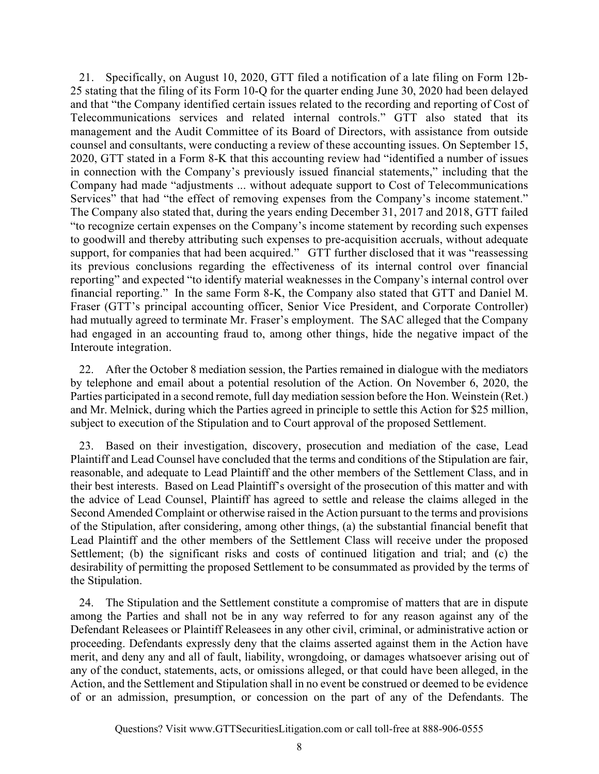21. Specifically, on August 10, 2020, GTT filed a notification of a late filing on Form 12b-25 stating that the filing of its Form 10-Q for the quarter ending June 30, 2020 had been delayed and that "the Company identified certain issues related to the recording and reporting of Cost of Telecommunications services and related internal controls." GTT also stated that its management and the Audit Committee of its Board of Directors, with assistance from outside counsel and consultants, were conducting a review of these accounting issues. On September 15, 2020, GTT stated in a Form 8-K that this accounting review had "identified a number of issues in connection with the Company's previously issued financial statements," including that the Company had made "adjustments ... without adequate support to Cost of Telecommunications Services" that had "the effect of removing expenses from the Company's income statement." The Company also stated that, during the years ending December 31, 2017 and 2018, GTT failed "to recognize certain expenses on the Company's income statement by recording such expenses to goodwill and thereby attributing such expenses to pre-acquisition accruals, without adequate support, for companies that had been acquired." GTT further disclosed that it was "reassessing its previous conclusions regarding the effectiveness of its internal control over financial reporting" and expected "to identify material weaknesses in the Company's internal control over financial reporting." In the same Form 8-K, the Company also stated that GTT and Daniel M. Fraser (GTT's principal accounting officer, Senior Vice President, and Corporate Controller) had mutually agreed to terminate Mr. Fraser's employment. The SAC alleged that the Company had engaged in an accounting fraud to, among other things, hide the negative impact of the Interoute integration.

22. After the October 8 mediation session, the Parties remained in dialogue with the mediators by telephone and email about a potential resolution of the Action. On November 6, 2020, the Parties participated in a second remote, full day mediation session before the Hon. Weinstein (Ret.) and Mr. Melnick, during which the Parties agreed in principle to settle this Action for \$25 million, subject to execution of the Stipulation and to Court approval of the proposed Settlement.

23. Based on their investigation, discovery, prosecution and mediation of the case, Lead Plaintiff and Lead Counsel have concluded that the terms and conditions of the Stipulation are fair, reasonable, and adequate to Lead Plaintiff and the other members of the Settlement Class, and in their best interests. Based on Lead Plaintiff's oversight of the prosecution of this matter and with the advice of Lead Counsel, Plaintiff has agreed to settle and release the claims alleged in the Second Amended Complaint or otherwise raised in the Action pursuant to the terms and provisions of the Stipulation, after considering, among other things, (a) the substantial financial benefit that Lead Plaintiff and the other members of the Settlement Class will receive under the proposed Settlement; (b) the significant risks and costs of continued litigation and trial; and (c) the desirability of permitting the proposed Settlement to be consummated as provided by the terms of the Stipulation.

24. The Stipulation and the Settlement constitute a compromise of matters that are in dispute among the Parties and shall not be in any way referred to for any reason against any of the Defendant Releasees or Plaintiff Releasees in any other civil, criminal, or administrative action or proceeding. Defendants expressly deny that the claims asserted against them in the Action have merit, and deny any and all of fault, liability, wrongdoing, or damages whatsoever arising out of any of the conduct, statements, acts, or omissions alleged, or that could have been alleged, in the Action, and the Settlement and Stipulation shall in no event be construed or deemed to be evidence of or an admission, presumption, or concession on the part of any of the Defendants. The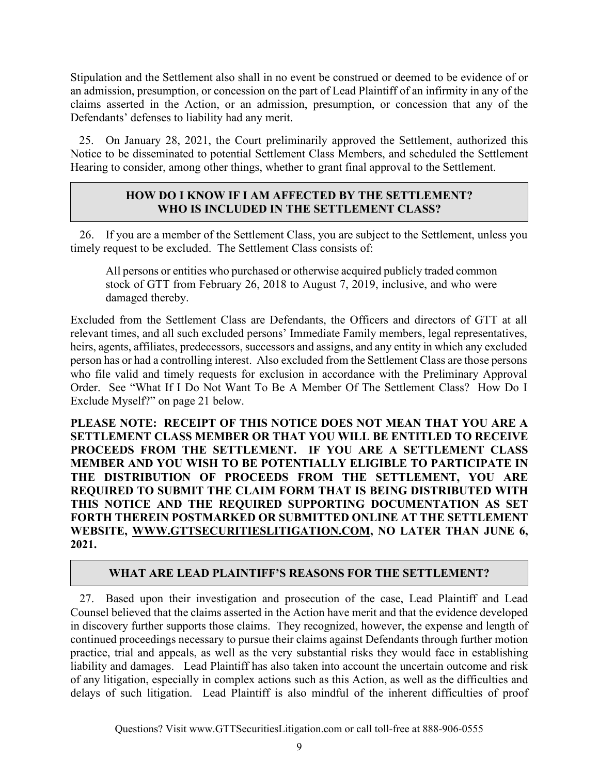Stipulation and the Settlement also shall in no event be construed or deemed to be evidence of or an admission, presumption, or concession on the part of Lead Plaintiff of an infirmity in any of the claims asserted in the Action, or an admission, presumption, or concession that any of the Defendants' defenses to liability had any merit.

25. On January 28, 2021, the Court preliminarily approved the Settlement, authorized this Notice to be disseminated to potential Settlement Class Members, and scheduled the Settlement Hearing to consider, among other things, whether to grant final approval to the Settlement.

## **HOW DO I KNOW IF I AM AFFECTED BY THE SETTLEMENT? WHO IS INCLUDED IN THE SETTLEMENT CLASS?**

26. If you are a member of the Settlement Class, you are subject to the Settlement, unless you timely request to be excluded. The Settlement Class consists of:

All persons or entities who purchased or otherwise acquired publicly traded common stock of GTT from February 26, 2018 to August 7, 2019, inclusive, and who were damaged thereby.

Excluded from the Settlement Class are Defendants, the Officers and directors of GTT at all relevant times, and all such excluded persons' Immediate Family members, legal representatives, heirs, agents, affiliates, predecessors, successors and assigns, and any entity in which any excluded person has or had a controlling interest. Also excluded from the Settlement Class are those persons who file valid and timely requests for exclusion in accordance with the Preliminary Approval Order. See "What If I Do Not Want To Be A Member Of The Settlement Class? How Do I Exclude Myself?" on page 21 below.

**PLEASE NOTE: RECEIPT OF THIS NOTICE DOES NOT MEAN THAT YOU ARE A SETTLEMENT CLASS MEMBER OR THAT YOU WILL BE ENTITLED TO RECEIVE PROCEEDS FROM THE SETTLEMENT. IF YOU ARE A SETTLEMENT CLASS MEMBER AND YOU WISH TO BE POTENTIALLY ELIGIBLE TO PARTICIPATE IN THE DISTRIBUTION OF PROCEEDS FROM THE SETTLEMENT, YOU ARE REQUIRED TO SUBMIT THE CLAIM FORM THAT IS BEING DISTRIBUTED WITH THIS NOTICE AND THE REQUIRED SUPPORTING DOCUMENTATION AS SET FORTH THEREIN POSTMARKED OR SUBMITTED ONLINE AT THE SETTLEMENT WEBSITE, WWW.GTTSECURITIESLITIGATION.COM, NO LATER THAN JUNE 6, 2021.** 

## **WHAT ARE LEAD PLAINTIFF'S REASONS FOR THE SETTLEMENT?**

27. Based upon their investigation and prosecution of the case, Lead Plaintiff and Lead Counsel believed that the claims asserted in the Action have merit and that the evidence developed in discovery further supports those claims. They recognized, however, the expense and length of continued proceedings necessary to pursue their claims against Defendants through further motion practice, trial and appeals, as well as the very substantial risks they would face in establishing liability and damages. Lead Plaintiff has also taken into account the uncertain outcome and risk of any litigation, especially in complex actions such as this Action, as well as the difficulties and delays of such litigation. Lead Plaintiff is also mindful of the inherent difficulties of proof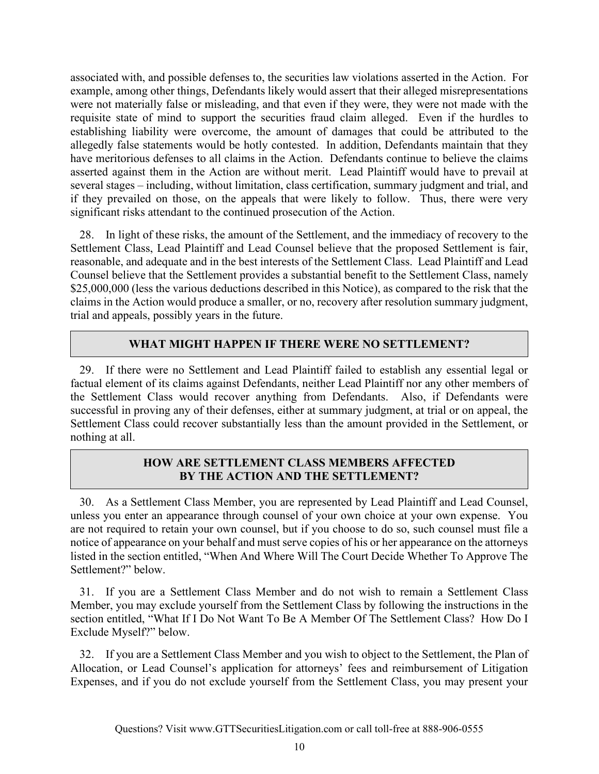associated with, and possible defenses to, the securities law violations asserted in the Action. For example, among other things, Defendants likely would assert that their alleged misrepresentations were not materially false or misleading, and that even if they were, they were not made with the requisite state of mind to support the securities fraud claim alleged. Even if the hurdles to establishing liability were overcome, the amount of damages that could be attributed to the allegedly false statements would be hotly contested. In addition, Defendants maintain that they have meritorious defenses to all claims in the Action. Defendants continue to believe the claims asserted against them in the Action are without merit. Lead Plaintiff would have to prevail at several stages – including, without limitation, class certification, summary judgment and trial, and if they prevailed on those, on the appeals that were likely to follow. Thus, there were very significant risks attendant to the continued prosecution of the Action.

28. In light of these risks, the amount of the Settlement, and the immediacy of recovery to the Settlement Class, Lead Plaintiff and Lead Counsel believe that the proposed Settlement is fair, reasonable, and adequate and in the best interests of the Settlement Class. Lead Plaintiff and Lead Counsel believe that the Settlement provides a substantial benefit to the Settlement Class, namely \$25,000,000 (less the various deductions described in this Notice), as compared to the risk that the claims in the Action would produce a smaller, or no, recovery after resolution summary judgment, trial and appeals, possibly years in the future.

## **WHAT MIGHT HAPPEN IF THERE WERE NO SETTLEMENT?**

29. If there were no Settlement and Lead Plaintiff failed to establish any essential legal or factual element of its claims against Defendants, neither Lead Plaintiff nor any other members of the Settlement Class would recover anything from Defendants. Also, if Defendants were successful in proving any of their defenses, either at summary judgment, at trial or on appeal, the Settlement Class could recover substantially less than the amount provided in the Settlement, or nothing at all.

## **HOW ARE SETTLEMENT CLASS MEMBERS AFFECTED BY THE ACTION AND THE SETTLEMENT?**

30. As a Settlement Class Member, you are represented by Lead Plaintiff and Lead Counsel, unless you enter an appearance through counsel of your own choice at your own expense. You are not required to retain your own counsel, but if you choose to do so, such counsel must file a notice of appearance on your behalf and must serve copies of his or her appearance on the attorneys listed in the section entitled, "When And Where Will The Court Decide Whether To Approve The Settlement?" below.

31. If you are a Settlement Class Member and do not wish to remain a Settlement Class Member, you may exclude yourself from the Settlement Class by following the instructions in the section entitled, "What If I Do Not Want To Be A Member Of The Settlement Class? How Do I Exclude Myself?" below.

32. If you are a Settlement Class Member and you wish to object to the Settlement, the Plan of Allocation, or Lead Counsel's application for attorneys' fees and reimbursement of Litigation Expenses, and if you do not exclude yourself from the Settlement Class, you may present your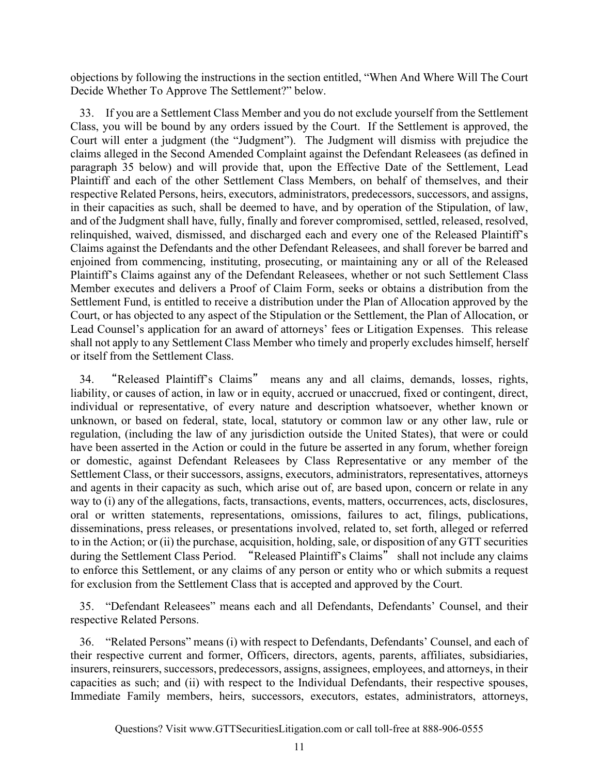objections by following the instructions in the section entitled, "When And Where Will The Court Decide Whether To Approve The Settlement?" below.

33. If you are a Settlement Class Member and you do not exclude yourself from the Settlement Class, you will be bound by any orders issued by the Court. If the Settlement is approved, the Court will enter a judgment (the "Judgment"). The Judgment will dismiss with prejudice the claims alleged in the Second Amended Complaint against the Defendant Releasees (as defined in paragraph 35 below) and will provide that, upon the Effective Date of the Settlement, Lead Plaintiff and each of the other Settlement Class Members, on behalf of themselves, and their respective Related Persons, heirs, executors, administrators, predecessors, successors, and assigns, in their capacities as such, shall be deemed to have, and by operation of the Stipulation, of law, and of the Judgment shall have, fully, finally and forever compromised, settled, released, resolved, relinquished, waived, dismissed, and discharged each and every one of the Released Plaintiff's Claims against the Defendants and the other Defendant Releasees, and shall forever be barred and enjoined from commencing, instituting, prosecuting, or maintaining any or all of the Released Plaintiff's Claims against any of the Defendant Releasees, whether or not such Settlement Class Member executes and delivers a Proof of Claim Form, seeks or obtains a distribution from the Settlement Fund, is entitled to receive a distribution under the Plan of Allocation approved by the Court, or has objected to any aspect of the Stipulation or the Settlement, the Plan of Allocation, or Lead Counsel's application for an award of attorneys' fees or Litigation Expenses. This release shall not apply to any Settlement Class Member who timely and properly excludes himself, herself or itself from the Settlement Class.

34. "Released Plaintiff's Claims" means any and all claims, demands, losses, rights, liability, or causes of action, in law or in equity, accrued or unaccrued, fixed or contingent, direct, individual or representative, of every nature and description whatsoever, whether known or unknown, or based on federal, state, local, statutory or common law or any other law, rule or regulation, (including the law of any jurisdiction outside the United States), that were or could have been asserted in the Action or could in the future be asserted in any forum, whether foreign or domestic, against Defendant Releasees by Class Representative or any member of the Settlement Class, or their successors, assigns, executors, administrators, representatives, attorneys and agents in their capacity as such, which arise out of, are based upon, concern or relate in any way to (i) any of the allegations, facts, transactions, events, matters, occurrences, acts, disclosures, oral or written statements, representations, omissions, failures to act, filings, publications, disseminations, press releases, or presentations involved, related to, set forth, alleged or referred to in the Action; or (ii) the purchase, acquisition, holding, sale, or disposition of any GTT securities during the Settlement Class Period. "Released Plaintiff's Claims" shall not include any claims to enforce this Settlement, or any claims of any person or entity who or which submits a request for exclusion from the Settlement Class that is accepted and approved by the Court.

35. "Defendant Releasees" means each and all Defendants, Defendants' Counsel, and their respective Related Persons.

36. "Related Persons" means (i) with respect to Defendants, Defendants' Counsel, and each of their respective current and former, Officers, directors, agents, parents, affiliates, subsidiaries, insurers, reinsurers, successors, predecessors, assigns, assignees, employees, and attorneys, in their capacities as such; and (ii) with respect to the Individual Defendants, their respective spouses, Immediate Family members, heirs, successors, executors, estates, administrators, attorneys,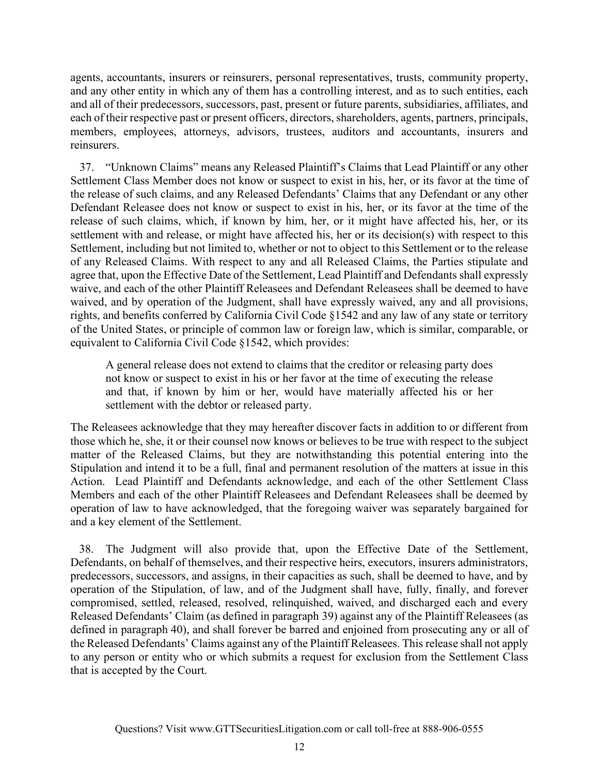agents, accountants, insurers or reinsurers, personal representatives, trusts, community property, and any other entity in which any of them has a controlling interest, and as to such entities, each and all of their predecessors, successors, past, present or future parents, subsidiaries, affiliates, and each of their respective past or present officers, directors, shareholders, agents, partners, principals, members, employees, attorneys, advisors, trustees, auditors and accountants, insurers and reinsurers.

37. "Unknown Claims" means any Released Plaintiff's Claims that Lead Plaintiff or any other Settlement Class Member does not know or suspect to exist in his, her, or its favor at the time of the release of such claims, and any Released Defendants' Claims that any Defendant or any other Defendant Releasee does not know or suspect to exist in his, her, or its favor at the time of the release of such claims, which, if known by him, her, or it might have affected his, her, or its settlement with and release, or might have affected his, her or its decision(s) with respect to this Settlement, including but not limited to, whether or not to object to this Settlement or to the release of any Released Claims. With respect to any and all Released Claims, the Parties stipulate and agree that, upon the Effective Date of the Settlement, Lead Plaintiff and Defendants shall expressly waive, and each of the other Plaintiff Releasees and Defendant Releasees shall be deemed to have waived, and by operation of the Judgment, shall have expressly waived, any and all provisions, rights, and benefits conferred by California Civil Code §1542 and any law of any state or territory of the United States, or principle of common law or foreign law, which is similar, comparable, or equivalent to California Civil Code §1542, which provides:

A general release does not extend to claims that the creditor or releasing party does not know or suspect to exist in his or her favor at the time of executing the release and that, if known by him or her, would have materially affected his or her settlement with the debtor or released party.

The Releasees acknowledge that they may hereafter discover facts in addition to or different from those which he, she, it or their counsel now knows or believes to be true with respect to the subject matter of the Released Claims, but they are notwithstanding this potential entering into the Stipulation and intend it to be a full, final and permanent resolution of the matters at issue in this Action. Lead Plaintiff and Defendants acknowledge, and each of the other Settlement Class Members and each of the other Plaintiff Releasees and Defendant Releasees shall be deemed by operation of law to have acknowledged, that the foregoing waiver was separately bargained for and a key element of the Settlement.

38. The Judgment will also provide that, upon the Effective Date of the Settlement, Defendants, on behalf of themselves, and their respective heirs, executors, insurers administrators, predecessors, successors, and assigns, in their capacities as such, shall be deemed to have, and by operation of the Stipulation, of law, and of the Judgment shall have, fully, finally, and forever compromised, settled, released, resolved, relinquished, waived, and discharged each and every Released Defendants' Claim (as defined in paragraph 39) against any of the Plaintiff Releasees (as defined in paragraph 40), and shall forever be barred and enjoined from prosecuting any or all of the Released Defendants' Claims against any of the Plaintiff Releasees. This release shall not apply to any person or entity who or which submits a request for exclusion from the Settlement Class that is accepted by the Court.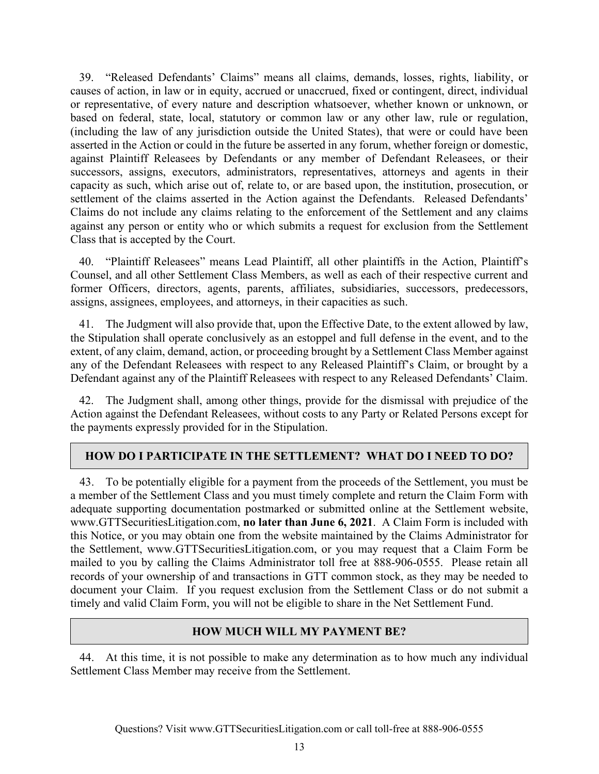39. "Released Defendants' Claims" means all claims, demands, losses, rights, liability, or causes of action, in law or in equity, accrued or unaccrued, fixed or contingent, direct, individual or representative, of every nature and description whatsoever, whether known or unknown, or based on federal, state, local, statutory or common law or any other law, rule or regulation, (including the law of any jurisdiction outside the United States), that were or could have been asserted in the Action or could in the future be asserted in any forum, whether foreign or domestic, against Plaintiff Releasees by Defendants or any member of Defendant Releasees, or their successors, assigns, executors, administrators, representatives, attorneys and agents in their capacity as such, which arise out of, relate to, or are based upon, the institution, prosecution, or settlement of the claims asserted in the Action against the Defendants. Released Defendants' Claims do not include any claims relating to the enforcement of the Settlement and any claims against any person or entity who or which submits a request for exclusion from the Settlement Class that is accepted by the Court.

40. "Plaintiff Releasees" means Lead Plaintiff, all other plaintiffs in the Action, Plaintiff's Counsel, and all other Settlement Class Members, as well as each of their respective current and former Officers, directors, agents, parents, affiliates, subsidiaries, successors, predecessors, assigns, assignees, employees, and attorneys, in their capacities as such.

41. The Judgment will also provide that, upon the Effective Date, to the extent allowed by law, the Stipulation shall operate conclusively as an estoppel and full defense in the event, and to the extent, of any claim, demand, action, or proceeding brought by a Settlement Class Member against any of the Defendant Releasees with respect to any Released Plaintiff's Claim, or brought by a Defendant against any of the Plaintiff Releasees with respect to any Released Defendants' Claim.

42. The Judgment shall, among other things, provide for the dismissal with prejudice of the Action against the Defendant Releasees, without costs to any Party or Related Persons except for the payments expressly provided for in the Stipulation.

## **HOW DO I PARTICIPATE IN THE SETTLEMENT? WHAT DO I NEED TO DO?**

43. To be potentially eligible for a payment from the proceeds of the Settlement, you must be a member of the Settlement Class and you must timely complete and return the Claim Form with adequate supporting documentation postmarked or submitted online at the Settlement website, www.GTTSecuritiesLitigation.com, **no later than June 6, 2021**. A Claim Form is included with this Notice, or you may obtain one from the website maintained by the Claims Administrator for the Settlement, www.GTTSecuritiesLitigation.com, or you may request that a Claim Form be mailed to you by calling the Claims Administrator toll free at 888-906-0555. Please retain all records of your ownership of and transactions in GTT common stock, as they may be needed to document your Claim. If you request exclusion from the Settlement Class or do not submit a timely and valid Claim Form, you will not be eligible to share in the Net Settlement Fund.

## **HOW MUCH WILL MY PAYMENT BE?**

44. At this time, it is not possible to make any determination as to how much any individual Settlement Class Member may receive from the Settlement.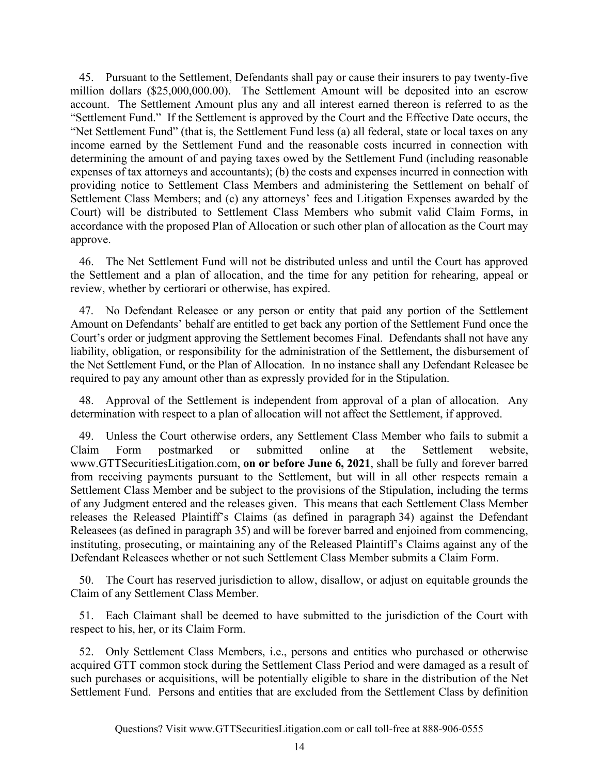45. Pursuant to the Settlement, Defendants shall pay or cause their insurers to pay twenty-five million dollars (\$25,000,000.00). The Settlement Amount will be deposited into an escrow account. The Settlement Amount plus any and all interest earned thereon is referred to as the "Settlement Fund." If the Settlement is approved by the Court and the Effective Date occurs, the "Net Settlement Fund" (that is, the Settlement Fund less (a) all federal, state or local taxes on any income earned by the Settlement Fund and the reasonable costs incurred in connection with determining the amount of and paying taxes owed by the Settlement Fund (including reasonable expenses of tax attorneys and accountants); (b) the costs and expenses incurred in connection with providing notice to Settlement Class Members and administering the Settlement on behalf of Settlement Class Members; and (c) any attorneys' fees and Litigation Expenses awarded by the Court) will be distributed to Settlement Class Members who submit valid Claim Forms, in accordance with the proposed Plan of Allocation or such other plan of allocation as the Court may approve.

46. The Net Settlement Fund will not be distributed unless and until the Court has approved the Settlement and a plan of allocation, and the time for any petition for rehearing, appeal or review, whether by certiorari or otherwise, has expired.

47. No Defendant Releasee or any person or entity that paid any portion of the Settlement Amount on Defendants' behalf are entitled to get back any portion of the Settlement Fund once the Court's order or judgment approving the Settlement becomes Final. Defendants shall not have any liability, obligation, or responsibility for the administration of the Settlement, the disbursement of the Net Settlement Fund, or the Plan of Allocation. In no instance shall any Defendant Releasee be required to pay any amount other than as expressly provided for in the Stipulation.

48. Approval of the Settlement is independent from approval of a plan of allocation. Any determination with respect to a plan of allocation will not affect the Settlement, if approved.

49. Unless the Court otherwise orders, any Settlement Class Member who fails to submit a Claim Form postmarked or submitted online at the Settlement website, www.GTTSecuritiesLitigation.com, **on or before June 6, 2021**, shall be fully and forever barred from receiving payments pursuant to the Settlement, but will in all other respects remain a Settlement Class Member and be subject to the provisions of the Stipulation, including the terms of any Judgment entered and the releases given. This means that each Settlement Class Member releases the Released Plaintiff's Claims (as defined in paragraph 34) against the Defendant Releasees (as defined in paragraph 35) and will be forever barred and enjoined from commencing, instituting, prosecuting, or maintaining any of the Released Plaintiff's Claims against any of the Defendant Releasees whether or not such Settlement Class Member submits a Claim Form.

50. The Court has reserved jurisdiction to allow, disallow, or adjust on equitable grounds the Claim of any Settlement Class Member.

51. Each Claimant shall be deemed to have submitted to the jurisdiction of the Court with respect to his, her, or its Claim Form.

52. Only Settlement Class Members, i.e., persons and entities who purchased or otherwise acquired GTT common stock during the Settlement Class Period and were damaged as a result of such purchases or acquisitions, will be potentially eligible to share in the distribution of the Net Settlement Fund. Persons and entities that are excluded from the Settlement Class by definition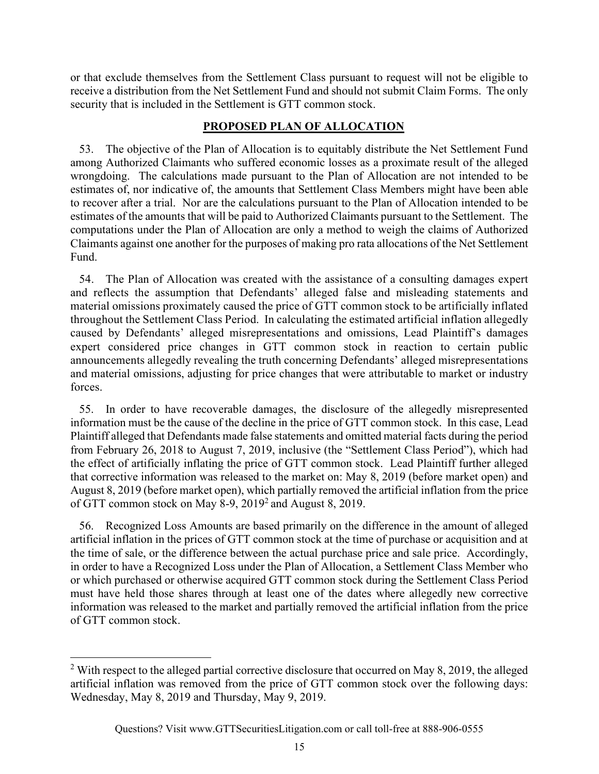or that exclude themselves from the Settlement Class pursuant to request will not be eligible to receive a distribution from the Net Settlement Fund and should not submit Claim Forms. The only security that is included in the Settlement is GTT common stock.

## **PROPOSED PLAN OF ALLOCATION**

53. The objective of the Plan of Allocation is to equitably distribute the Net Settlement Fund among Authorized Claimants who suffered economic losses as a proximate result of the alleged wrongdoing. The calculations made pursuant to the Plan of Allocation are not intended to be estimates of, nor indicative of, the amounts that Settlement Class Members might have been able to recover after a trial. Nor are the calculations pursuant to the Plan of Allocation intended to be estimates of the amounts that will be paid to Authorized Claimants pursuant to the Settlement. The computations under the Plan of Allocation are only a method to weigh the claims of Authorized Claimants against one another for the purposes of making pro rata allocations of the Net Settlement Fund.

54. The Plan of Allocation was created with the assistance of a consulting damages expert and reflects the assumption that Defendants' alleged false and misleading statements and material omissions proximately caused the price of GTT common stock to be artificially inflated throughout the Settlement Class Period. In calculating the estimated artificial inflation allegedly caused by Defendants' alleged misrepresentations and omissions, Lead Plaintiff's damages expert considered price changes in GTT common stock in reaction to certain public announcements allegedly revealing the truth concerning Defendants' alleged misrepresentations and material omissions, adjusting for price changes that were attributable to market or industry forces.

55. In order to have recoverable damages, the disclosure of the allegedly misrepresented information must be the cause of the decline in the price of GTT common stock. In this case, Lead Plaintiff alleged that Defendants made false statements and omitted material facts during the period from February 26, 2018 to August 7, 2019, inclusive (the "Settlement Class Period"), which had the effect of artificially inflating the price of GTT common stock. Lead Plaintiff further alleged that corrective information was released to the market on: May 8, 2019 (before market open) and August 8, 2019 (before market open), which partially removed the artificial inflation from the price of GTT common stock on May  $8-9$ ,  $2019<sup>2</sup>$  and August 8, 2019.

56. Recognized Loss Amounts are based primarily on the difference in the amount of alleged artificial inflation in the prices of GTT common stock at the time of purchase or acquisition and at the time of sale, or the difference between the actual purchase price and sale price. Accordingly, in order to have a Recognized Loss under the Plan of Allocation, a Settlement Class Member who or which purchased or otherwise acquired GTT common stock during the Settlement Class Period must have held those shares through at least one of the dates where allegedly new corrective information was released to the market and partially removed the artificial inflation from the price of GTT common stock.

 $2$  With respect to the alleged partial corrective disclosure that occurred on May 8, 2019, the alleged artificial inflation was removed from the price of GTT common stock over the following days: Wednesday, May 8, 2019 and Thursday, May 9, 2019.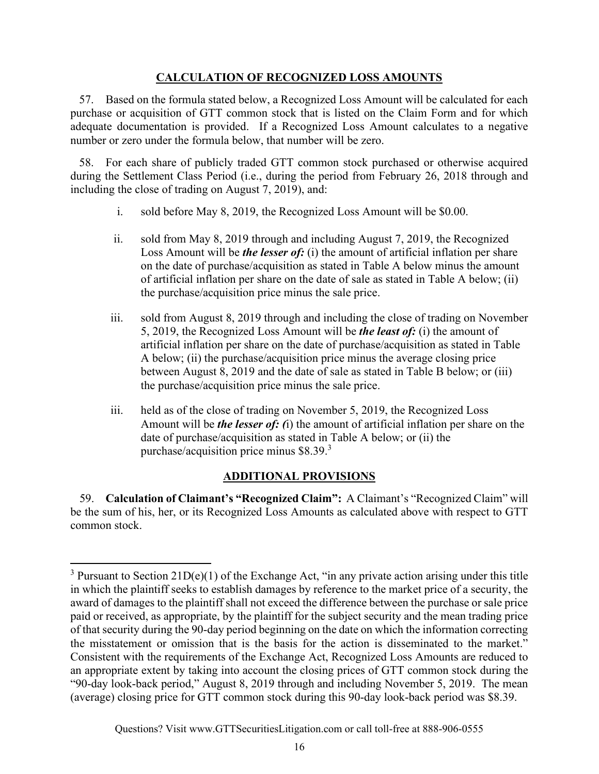## **CALCULATION OF RECOGNIZED LOSS AMOUNTS**

57. Based on the formula stated below, a Recognized Loss Amount will be calculated for each purchase or acquisition of GTT common stock that is listed on the Claim Form and for which adequate documentation is provided. If a Recognized Loss Amount calculates to a negative number or zero under the formula below, that number will be zero.

58. For each share of publicly traded GTT common stock purchased or otherwise acquired during the Settlement Class Period (i.e., during the period from February 26, 2018 through and including the close of trading on August 7, 2019), and:

- i. sold before May 8, 2019, the Recognized Loss Amount will be \$0.00.
- ii. sold from May 8, 2019 through and including August 7, 2019, the Recognized Loss Amount will be *the lesser of:* (i) the amount of artificial inflation per share on the date of purchase/acquisition as stated in Table A below minus the amount of artificial inflation per share on the date of sale as stated in Table A below; (ii) the purchase/acquisition price minus the sale price.
- iii. sold from August 8, 2019 through and including the close of trading on November 5, 2019, the Recognized Loss Amount will be *the least of:* (i) the amount of artificial inflation per share on the date of purchase/acquisition as stated in Table A below; (ii) the purchase/acquisition price minus the average closing price between August 8, 2019 and the date of sale as stated in Table B below; or (iii) the purchase/acquisition price minus the sale price.
- iii. held as of the close of trading on November 5, 2019, the Recognized Loss Amount will be *the lesser of: (*i) the amount of artificial inflation per share on the date of purchase/acquisition as stated in Table A below; or (ii) the purchase/acquisition price minus \$8.39.<sup>3</sup>

## **ADDITIONAL PROVISIONS**

59. **Calculation of Claimant's "Recognized Claim":** A Claimant's "Recognized Claim" will be the sum of his, her, or its Recognized Loss Amounts as calculated above with respect to GTT common stock.

<sup>&</sup>lt;sup>3</sup> Pursuant to Section  $21D(e)(1)$  of the Exchange Act, "in any private action arising under this title in which the plaintiff seeks to establish damages by reference to the market price of a security, the award of damages to the plaintiff shall not exceed the difference between the purchase or sale price paid or received, as appropriate, by the plaintiff for the subject security and the mean trading price of that security during the 90-day period beginning on the date on which the information correcting the misstatement or omission that is the basis for the action is disseminated to the market." Consistent with the requirements of the Exchange Act, Recognized Loss Amounts are reduced to an appropriate extent by taking into account the closing prices of GTT common stock during the "90-day look-back period," August 8, 2019 through and including November 5, 2019. The mean (average) closing price for GTT common stock during this 90-day look-back period was \$8.39.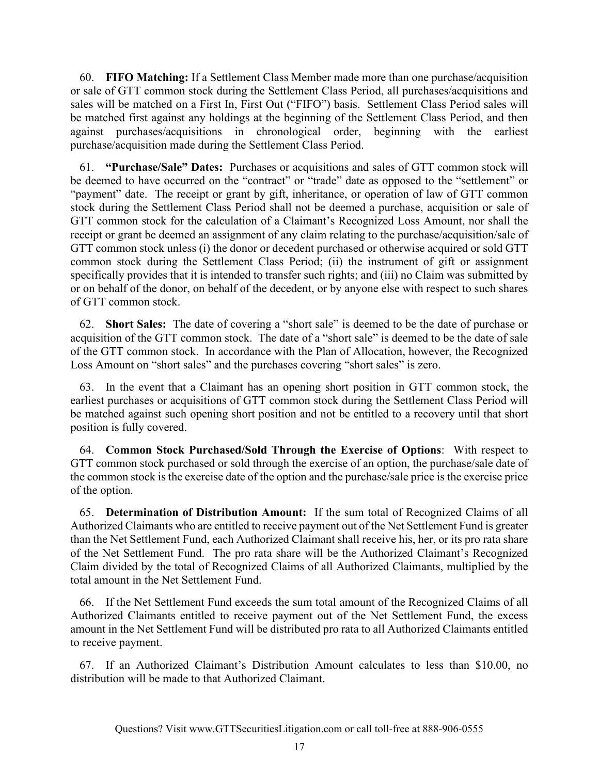60. **FIFO Matching:** If a Settlement Class Member made more than one purchase/acquisition or sale of GTT common stock during the Settlement Class Period, all purchases/acquisitions and sales will be matched on a First In, First Out ("FIFO") basis. Settlement Class Period sales will be matched first against any holdings at the beginning of the Settlement Class Period, and then against purchases/acquisitions in chronological order, beginning with the earliest purchase/acquisition made during the Settlement Class Period.

61. **"Purchase/Sale" Dates:** Purchases or acquisitions and sales of GTT common stock will be deemed to have occurred on the "contract" or "trade" date as opposed to the "settlement" or "payment" date. The receipt or grant by gift, inheritance, or operation of law of GTT common stock during the Settlement Class Period shall not be deemed a purchase, acquisition or sale of GTT common stock for the calculation of a Claimant's Recognized Loss Amount, nor shall the receipt or grant be deemed an assignment of any claim relating to the purchase/acquisition/sale of GTT common stock unless (i) the donor or decedent purchased or otherwise acquired or sold GTT common stock during the Settlement Class Period; (ii) the instrument of gift or assignment specifically provides that it is intended to transfer such rights; and (iii) no Claim was submitted by or on behalf of the donor, on behalf of the decedent, or by anyone else with respect to such shares of GTT common stock.

62. **Short Sales:** The date of covering a "short sale" is deemed to be the date of purchase or acquisition of the GTT common stock. The date of a "short sale" is deemed to be the date of sale of the GTT common stock. In accordance with the Plan of Allocation, however, the Recognized Loss Amount on "short sales" and the purchases covering "short sales" is zero.

63. In the event that a Claimant has an opening short position in GTT common stock, the earliest purchases or acquisitions of GTT common stock during the Settlement Class Period will be matched against such opening short position and not be entitled to a recovery until that short position is fully covered.

64. **Common Stock Purchased/Sold Through the Exercise of Options**: With respect to GTT common stock purchased or sold through the exercise of an option, the purchase/sale date of the common stock is the exercise date of the option and the purchase/sale price is the exercise price of the option.

65. **Determination of Distribution Amount:** If the sum total of Recognized Claims of all Authorized Claimants who are entitled to receive payment out of the Net Settlement Fund is greater than the Net Settlement Fund, each Authorized Claimant shall receive his, her, or its pro rata share of the Net Settlement Fund. The pro rata share will be the Authorized Claimant's Recognized Claim divided by the total of Recognized Claims of all Authorized Claimants, multiplied by the total amount in the Net Settlement Fund.

66. If the Net Settlement Fund exceeds the sum total amount of the Recognized Claims of all Authorized Claimants entitled to receive payment out of the Net Settlement Fund, the excess amount in the Net Settlement Fund will be distributed pro rata to all Authorized Claimants entitled to receive payment.

67. If an Authorized Claimant's Distribution Amount calculates to less than \$10.00, no distribution will be made to that Authorized Claimant.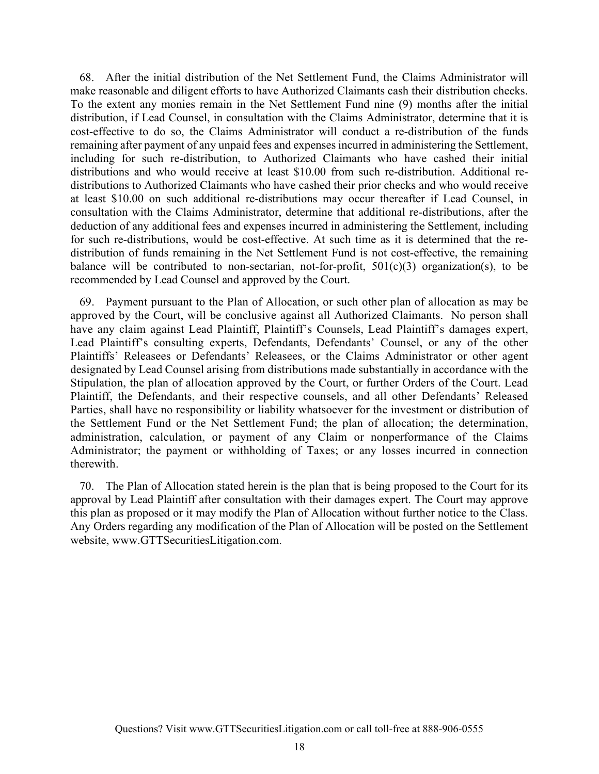68. After the initial distribution of the Net Settlement Fund, the Claims Administrator will make reasonable and diligent efforts to have Authorized Claimants cash their distribution checks. To the extent any monies remain in the Net Settlement Fund nine (9) months after the initial distribution, if Lead Counsel, in consultation with the Claims Administrator, determine that it is cost-effective to do so, the Claims Administrator will conduct a re-distribution of the funds remaining after payment of any unpaid fees and expenses incurred in administering the Settlement, including for such re-distribution, to Authorized Claimants who have cashed their initial distributions and who would receive at least \$10.00 from such re-distribution. Additional redistributions to Authorized Claimants who have cashed their prior checks and who would receive at least \$10.00 on such additional re-distributions may occur thereafter if Lead Counsel, in consultation with the Claims Administrator, determine that additional re-distributions, after the deduction of any additional fees and expenses incurred in administering the Settlement, including for such re-distributions, would be cost-effective. At such time as it is determined that the redistribution of funds remaining in the Net Settlement Fund is not cost-effective, the remaining balance will be contributed to non-sectarian, not-for-profit,  $501(c)(3)$  organization(s), to be recommended by Lead Counsel and approved by the Court.

69. Payment pursuant to the Plan of Allocation, or such other plan of allocation as may be approved by the Court, will be conclusive against all Authorized Claimants. No person shall have any claim against Lead Plaintiff, Plaintiff's Counsels, Lead Plaintiff's damages expert, Lead Plaintiff's consulting experts, Defendants, Defendants' Counsel, or any of the other Plaintiffs' Releasees or Defendants' Releasees, or the Claims Administrator or other agent designated by Lead Counsel arising from distributions made substantially in accordance with the Stipulation, the plan of allocation approved by the Court, or further Orders of the Court. Lead Plaintiff, the Defendants, and their respective counsels, and all other Defendants' Released Parties, shall have no responsibility or liability whatsoever for the investment or distribution of the Settlement Fund or the Net Settlement Fund; the plan of allocation; the determination, administration, calculation, or payment of any Claim or nonperformance of the Claims Administrator; the payment or withholding of Taxes; or any losses incurred in connection therewith.

70. The Plan of Allocation stated herein is the plan that is being proposed to the Court for its approval by Lead Plaintiff after consultation with their damages expert. The Court may approve this plan as proposed or it may modify the Plan of Allocation without further notice to the Class. Any Orders regarding any modification of the Plan of Allocation will be posted on the Settlement website, www.GTTSecuritiesLitigation.com.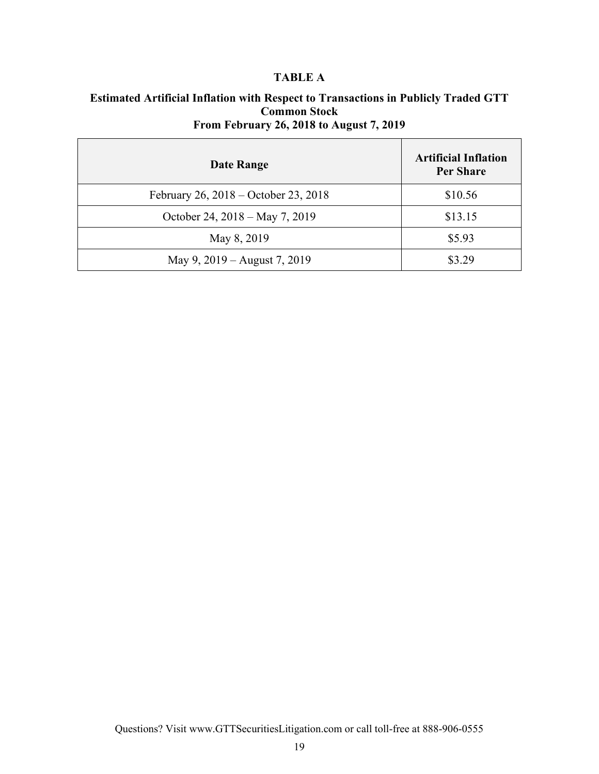## **TABLE A**

# **Estimated Artificial Inflation with Respect to Transactions in Publicly Traded GTT Common Stock**

## **From February 26, 2018 to August 7, 2019**

| Date Range                           | <b>Artificial Inflation</b><br><b>Per Share</b> |
|--------------------------------------|-------------------------------------------------|
| February 26, 2018 – October 23, 2018 | \$10.56                                         |
| October 24, 2018 – May 7, 2019       | \$13.15                                         |
| May 8, 2019                          | \$5.93                                          |
| May 9, 2019 – August 7, 2019         | \$3.29                                          |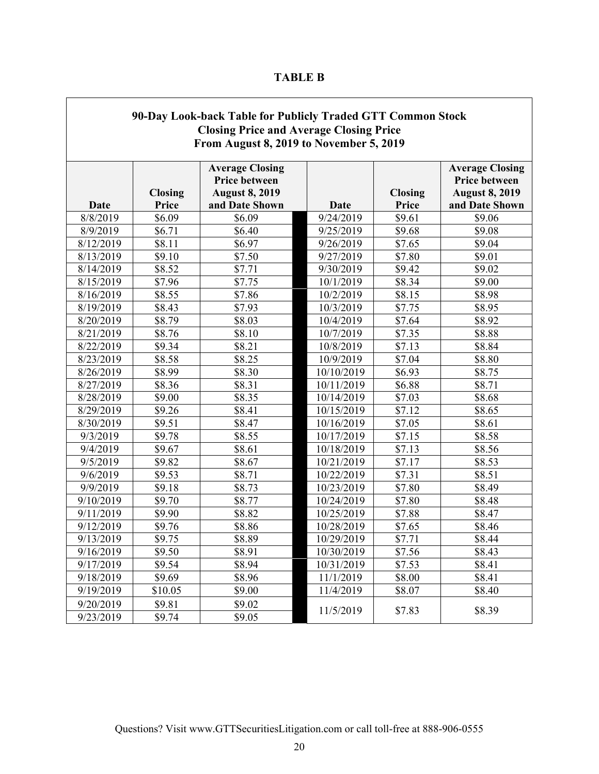| ABLI<br>H. |  |
|------------|--|
|------------|--|

| 90-Day Look-back Table for Publicly Traded GTT Common Stock<br><b>Closing Price and Average Closing Price</b><br>From August 8, 2019 to November 5, 2019 |                         |                                                                                    |            |                         |                                                                                           |
|----------------------------------------------------------------------------------------------------------------------------------------------------------|-------------------------|------------------------------------------------------------------------------------|------------|-------------------------|-------------------------------------------------------------------------------------------|
| Date                                                                                                                                                     | <b>Closing</b><br>Price | <b>Average Closing</b><br>Price between<br><b>August 8, 2019</b><br>and Date Shown | Date       | <b>Closing</b><br>Price | <b>Average Closing</b><br><b>Price between</b><br><b>August 8, 2019</b><br>and Date Shown |
| 8/8/2019                                                                                                                                                 | \$6.09                  | \$6.09                                                                             | 9/24/2019  | \$9.61                  | \$9.06                                                                                    |
| 8/9/2019                                                                                                                                                 | \$6.71                  | \$6.40                                                                             | 9/25/2019  | \$9.68                  | \$9.08                                                                                    |
| 8/12/2019                                                                                                                                                | \$8.11                  | \$6.97                                                                             | 9/26/2019  | \$7.65                  | \$9.04                                                                                    |
| 8/13/2019                                                                                                                                                | \$9.10                  | \$7.50                                                                             | 9/27/2019  | \$7.80                  | \$9.01                                                                                    |
| 8/14/2019                                                                                                                                                | \$8.52                  | \$7.71                                                                             | 9/30/2019  | \$9.42                  | \$9.02                                                                                    |
| 8/15/2019                                                                                                                                                | \$7.96                  | \$7.75                                                                             | 10/1/2019  | \$8.34                  | \$9.00                                                                                    |
| 8/16/2019                                                                                                                                                | \$8.55                  | \$7.86                                                                             | 10/2/2019  | \$8.15                  | \$8.98                                                                                    |
| 8/19/2019                                                                                                                                                | \$8.43                  | \$7.93                                                                             | 10/3/2019  | \$7.75                  | \$8.95                                                                                    |
| 8/20/2019                                                                                                                                                | \$8.79                  | \$8.03                                                                             | 10/4/2019  | \$7.64                  | \$8.92                                                                                    |
| 8/21/2019                                                                                                                                                | \$8.76                  | \$8.10                                                                             | 10/7/2019  | \$7.35                  | \$8.88                                                                                    |
| 8/22/2019                                                                                                                                                | \$9.34                  | \$8.21                                                                             | 10/8/2019  | \$7.13                  | \$8.84                                                                                    |
| 8/23/2019                                                                                                                                                | \$8.58                  | \$8.25                                                                             | 10/9/2019  | \$7.04                  | \$8.80                                                                                    |
| 8/26/2019                                                                                                                                                | \$8.99                  | \$8.30                                                                             | 10/10/2019 | \$6.93                  | \$8.75                                                                                    |
| 8/27/2019                                                                                                                                                | \$8.36                  | \$8.31                                                                             | 10/11/2019 | \$6.88                  | \$8.71                                                                                    |
| 8/28/2019                                                                                                                                                | \$9.00                  | \$8.35                                                                             | 10/14/2019 | \$7.03                  | \$8.68                                                                                    |
| 8/29/2019                                                                                                                                                | \$9.26                  | \$8.41                                                                             | 10/15/2019 | \$7.12                  | \$8.65                                                                                    |
| 8/30/2019                                                                                                                                                | \$9.51                  | \$8.47                                                                             | 10/16/2019 | \$7.05                  | \$8.61                                                                                    |
| 9/3/2019                                                                                                                                                 | \$9.78                  | \$8.55                                                                             | 10/17/2019 | \$7.15                  | \$8.58                                                                                    |
| 9/4/2019                                                                                                                                                 | \$9.67                  | \$8.61                                                                             | 10/18/2019 | \$7.13                  | \$8.56                                                                                    |
| 9/5/2019                                                                                                                                                 | \$9.82                  | \$8.67                                                                             | 10/21/2019 | \$7.17                  | \$8.53                                                                                    |
| 9/6/2019                                                                                                                                                 | \$9.53                  | \$8.71                                                                             | 10/22/2019 | \$7.31                  | \$8.51                                                                                    |
| 9/9/2019                                                                                                                                                 | \$9.18                  | \$8.73                                                                             | 10/23/2019 | \$7.80                  | \$8.49                                                                                    |
| 9/10/2019                                                                                                                                                | \$9.70                  | \$8.77                                                                             | 10/24/2019 | \$7.80                  | \$8.48                                                                                    |
| 9/11/2019                                                                                                                                                | \$9.90                  | \$8.82                                                                             | 10/25/2019 | \$7.88                  | \$8.47                                                                                    |
| 9/12/2019                                                                                                                                                | \$9.76                  | \$8.86                                                                             | 10/28/2019 | \$7.65                  | \$8.46                                                                                    |
| 9/13/2019                                                                                                                                                | \$9.75                  | \$8.89                                                                             | 10/29/2019 | \$7.71                  | \$8.44                                                                                    |
| 9/16/2019                                                                                                                                                | \$9.50                  | \$8.91                                                                             | 10/30/2019 | \$7.56                  | \$8.43                                                                                    |
| 9/17/2019                                                                                                                                                | \$9.54                  | \$8.94                                                                             | 10/31/2019 | \$7.53                  | \$8.41                                                                                    |
| 9/18/2019                                                                                                                                                | \$9.69                  | \$8.96                                                                             | 11/1/2019  | \$8.00                  | \$8.41                                                                                    |
| 9/19/2019                                                                                                                                                | \$10.05                 | \$9.00                                                                             | 11/4/2019  | \$8.07                  | \$8.40                                                                                    |
| 9/20/2019                                                                                                                                                | \$9.81                  | \$9.02                                                                             |            |                         |                                                                                           |
| 9/23/2019                                                                                                                                                | \$9.74                  | \$9.05                                                                             | 11/5/2019  | \$7.83                  | \$8.39                                                                                    |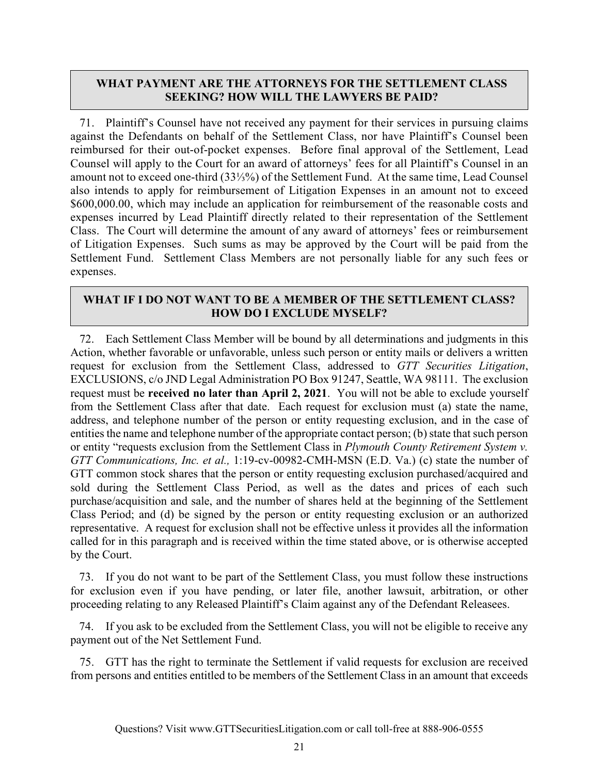## **WHAT PAYMENT ARE THE ATTORNEYS FOR THE SETTLEMENT CLASS SEEKING? HOW WILL THE LAWYERS BE PAID?**

71. Plaintiff's Counsel have not received any payment for their services in pursuing claims against the Defendants on behalf of the Settlement Class, nor have Plaintiff's Counsel been reimbursed for their out-of-pocket expenses. Before final approval of the Settlement, Lead Counsel will apply to the Court for an award of attorneys' fees for all Plaintiff's Counsel in an amount not to exceed one-third (33⅓%) of the Settlement Fund. At the same time, Lead Counsel also intends to apply for reimbursement of Litigation Expenses in an amount not to exceed \$600,000.00, which may include an application for reimbursement of the reasonable costs and expenses incurred by Lead Plaintiff directly related to their representation of the Settlement Class. The Court will determine the amount of any award of attorneys' fees or reimbursement of Litigation Expenses. Such sums as may be approved by the Court will be paid from the Settlement Fund. Settlement Class Members are not personally liable for any such fees or expenses.

## **WHAT IF I DO NOT WANT TO BE A MEMBER OF THE SETTLEMENT CLASS? HOW DO I EXCLUDE MYSELF?**

72. Each Settlement Class Member will be bound by all determinations and judgments in this Action, whether favorable or unfavorable, unless such person or entity mails or delivers a written request for exclusion from the Settlement Class, addressed to *GTT Securities Litigation*, EXCLUSIONS, c/o JND Legal Administration PO Box 91247, Seattle, WA 98111. The exclusion request must be **received no later than April 2, 2021**. You will not be able to exclude yourself from the Settlement Class after that date. Each request for exclusion must (a) state the name, address, and telephone number of the person or entity requesting exclusion, and in the case of entities the name and telephone number of the appropriate contact person; (b) state that such person or entity "requests exclusion from the Settlement Class in *Plymouth County Retirement System v. GTT Communications, Inc. et al.,* 1:19-cv-00982-CMH-MSN (E.D. Va.) (c) state the number of GTT common stock shares that the person or entity requesting exclusion purchased/acquired and sold during the Settlement Class Period, as well as the dates and prices of each such purchase/acquisition and sale, and the number of shares held at the beginning of the Settlement Class Period; and (d) be signed by the person or entity requesting exclusion or an authorized representative. A request for exclusion shall not be effective unless it provides all the information called for in this paragraph and is received within the time stated above, or is otherwise accepted by the Court.

73. If you do not want to be part of the Settlement Class, you must follow these instructions for exclusion even if you have pending, or later file, another lawsuit, arbitration, or other proceeding relating to any Released Plaintiff's Claim against any of the Defendant Releasees.

74. If you ask to be excluded from the Settlement Class, you will not be eligible to receive any payment out of the Net Settlement Fund.

75. GTT has the right to terminate the Settlement if valid requests for exclusion are received from persons and entities entitled to be members of the Settlement Class in an amount that exceeds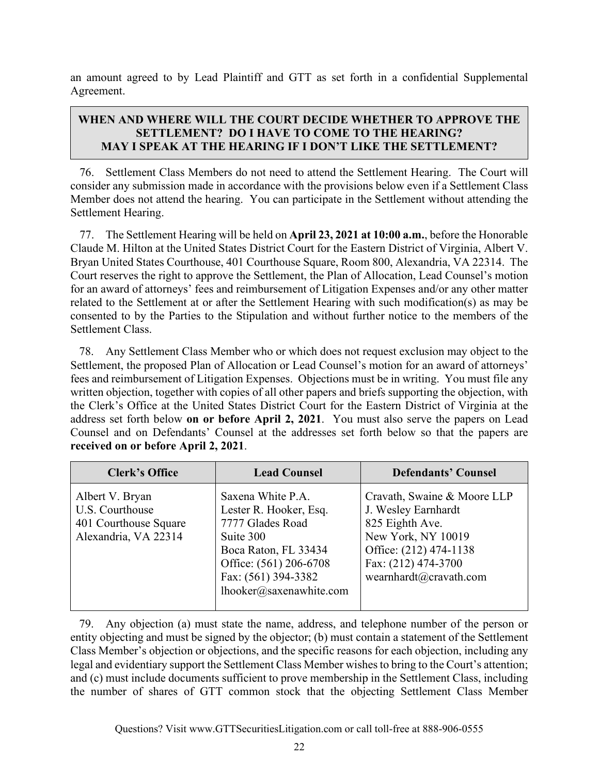an amount agreed to by Lead Plaintiff and GTT as set forth in a confidential Supplemental Agreement.

## **WHEN AND WHERE WILL THE COURT DECIDE WHETHER TO APPROVE THE SETTLEMENT? DO I HAVE TO COME TO THE HEARING? MAY I SPEAK AT THE HEARING IF I DON'T LIKE THE SETTLEMENT?**

76. Settlement Class Members do not need to attend the Settlement Hearing. The Court will consider any submission made in accordance with the provisions below even if a Settlement Class Member does not attend the hearing. You can participate in the Settlement without attending the Settlement Hearing.

77. The Settlement Hearing will be held on **April 23, 2021 at 10:00 a.m.**, before the Honorable Claude M. Hilton at the United States District Court for the Eastern District of Virginia, Albert V. Bryan United States Courthouse, 401 Courthouse Square, Room 800, Alexandria, VA 22314.The Court reserves the right to approve the Settlement, the Plan of Allocation, Lead Counsel's motion for an award of attorneys' fees and reimbursement of Litigation Expenses and/or any other matter related to the Settlement at or after the Settlement Hearing with such modification(s) as may be consented to by the Parties to the Stipulation and without further notice to the members of the Settlement Class.

78. Any Settlement Class Member who or which does not request exclusion may object to the Settlement, the proposed Plan of Allocation or Lead Counsel's motion for an award of attorneys' fees and reimbursement of Litigation Expenses. Objections must be in writing. You must file any written objection, together with copies of all other papers and briefs supporting the objection, with the Clerk's Office at the United States District Court for the Eastern District of Virginia at the address set forth below **on or before April 2, 2021**. You must also serve the papers on Lead Counsel and on Defendants' Counsel at the addresses set forth below so that the papers are **received on or before April 2, 2021**.

| <b>Clerk's Office</b>                                                               | <b>Lead Counsel</b>                                                                                                                                                              | <b>Defendants' Counsel</b>                                                                                                                                             |
|-------------------------------------------------------------------------------------|----------------------------------------------------------------------------------------------------------------------------------------------------------------------------------|------------------------------------------------------------------------------------------------------------------------------------------------------------------------|
| Albert V. Bryan<br>U.S. Courthouse<br>401 Courthouse Square<br>Alexandria, VA 22314 | Saxena White P.A.<br>Lester R. Hooker, Esq.<br>7777 Glades Road<br>Suite 300<br>Boca Raton, FL 33434<br>Office: (561) 206-6708<br>Fax: (561) 394-3382<br>lhooker@saxenawhite.com | Cravath, Swaine & Moore LLP<br>J. Wesley Earnhardt<br>825 Eighth Ave.<br>New York, NY 10019<br>Office: (212) 474-1138<br>Fax: (212) 474-3700<br>wearnhardt@cravath.com |

79. Any objection (a) must state the name, address, and telephone number of the person or entity objecting and must be signed by the objector; (b) must contain a statement of the Settlement Class Member's objection or objections, and the specific reasons for each objection, including any legal and evidentiary support the Settlement Class Member wishes to bring to the Court's attention; and (c) must include documents sufficient to prove membership in the Settlement Class, including the number of shares of GTT common stock that the objecting Settlement Class Member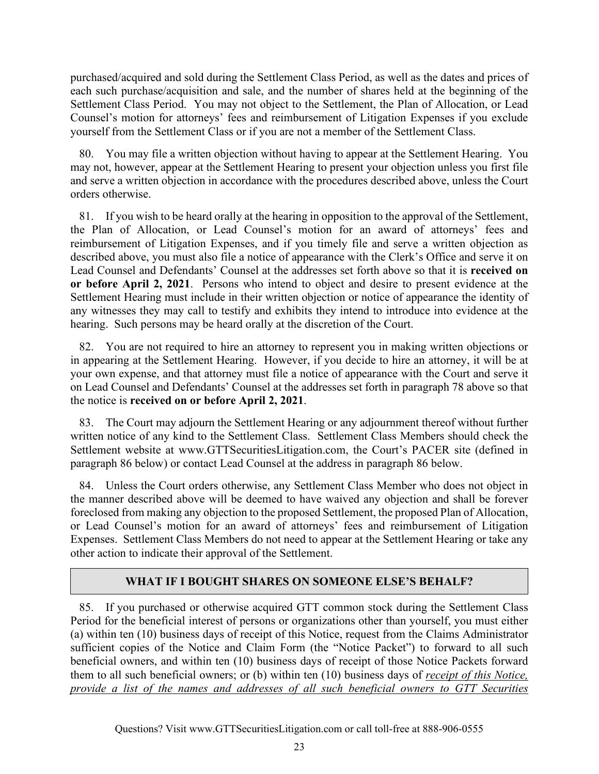purchased/acquired and sold during the Settlement Class Period, as well as the dates and prices of each such purchase/acquisition and sale, and the number of shares held at the beginning of the Settlement Class Period. You may not object to the Settlement, the Plan of Allocation, or Lead Counsel's motion for attorneys' fees and reimbursement of Litigation Expenses if you exclude yourself from the Settlement Class or if you are not a member of the Settlement Class.

80. You may file a written objection without having to appear at the Settlement Hearing. You may not, however, appear at the Settlement Hearing to present your objection unless you first file and serve a written objection in accordance with the procedures described above, unless the Court orders otherwise.

81. If you wish to be heard orally at the hearing in opposition to the approval of the Settlement, the Plan of Allocation, or Lead Counsel's motion for an award of attorneys' fees and reimbursement of Litigation Expenses, and if you timely file and serve a written objection as described above, you must also file a notice of appearance with the Clerk's Office and serve it on Lead Counsel and Defendants' Counsel at the addresses set forth above so that it is **received on or before April 2, 2021**. Persons who intend to object and desire to present evidence at the Settlement Hearing must include in their written objection or notice of appearance the identity of any witnesses they may call to testify and exhibits they intend to introduce into evidence at the hearing. Such persons may be heard orally at the discretion of the Court.

82. You are not required to hire an attorney to represent you in making written objections or in appearing at the Settlement Hearing. However, if you decide to hire an attorney, it will be at your own expense, and that attorney must file a notice of appearance with the Court and serve it on Lead Counsel and Defendants' Counsel at the addresses set forth in paragraph 78 above so that the notice is **received on or before April 2, 2021**.

83. The Court may adjourn the Settlement Hearing or any adjournment thereof without further written notice of any kind to the Settlement Class. Settlement Class Members should check the Settlement website at www.GTTSecuritiesLitigation.com, the Court's PACER site (defined in paragraph 86 below) or contact Lead Counsel at the address in paragraph 86 below.

84. Unless the Court orders otherwise, any Settlement Class Member who does not object in the manner described above will be deemed to have waived any objection and shall be forever foreclosed from making any objection to the proposed Settlement, the proposed Plan of Allocation, or Lead Counsel's motion for an award of attorneys' fees and reimbursement of Litigation Expenses. Settlement Class Members do not need to appear at the Settlement Hearing or take any other action to indicate their approval of the Settlement.

## **WHAT IF I BOUGHT SHARES ON SOMEONE ELSE'S BEHALF?**

85. If you purchased or otherwise acquired GTT common stock during the Settlement Class Period for the beneficial interest of persons or organizations other than yourself, you must either (a) within ten (10) business days of receipt of this Notice, request from the Claims Administrator sufficient copies of the Notice and Claim Form (the "Notice Packet") to forward to all such beneficial owners, and within ten (10) business days of receipt of those Notice Packets forward them to all such beneficial owners; or (b) within ten (10) business days of *receipt of this Notice, provide a list of the names and addresses of all such beneficial owners to GTT Securities*